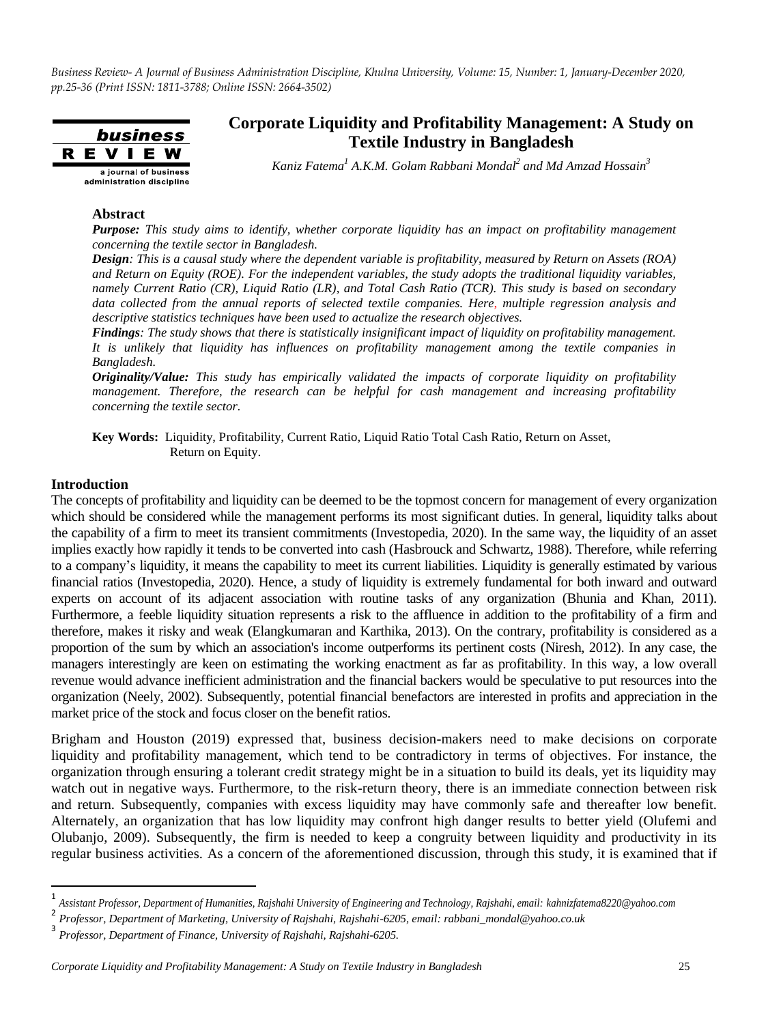

## **Corporate Liquidity and Profitability Management: A Study on Textile Industry in Bangladesh**

*Kaniz Fatema<sup>1</sup> A.K.M. Golam Rabbani Mondal<sup>2</sup> and Md Amzad Hossain<sup>3</sup>*

#### **Abstract**

*Purpose: This study aims to identify, whether corporate liquidity has an impact on profitability management concerning the textile sector in Bangladesh.*

*Design: This is a causal study where the dependent variable is profitability, measured by Return on Assets (ROA) and Return on Equity (ROE). For the independent variables, the study adopts the traditional liquidity variables, namely Current Ratio (CR), Liquid Ratio (LR), and Total Cash Ratio (TCR). This study is based on secondary data collected from the annual reports of selected textile companies. Here, multiple regression analysis and descriptive statistics techniques have been used to actualize the research objectives.*

*Findings: The study shows that there is statistically insignificant impact of liquidity on profitability management. It is unlikely that liquidity has influences on profitability management among the textile companies in Bangladesh.*

*Originality/Value: This study has empirically validated the impacts of corporate liquidity on profitability management. Therefore, the research can be helpful for cash management and increasing profitability concerning the textile sector.*

**Key Words:** Liquidity, Profitability, Current Ratio, Liquid Ratio Total Cash Ratio, Return on Asset, Return on Equity.

#### **Introduction**

 $\overline{\phantom{a}}$ 

The concepts of profitability and liquidity can be deemed to be the topmost concern for management of every organization which should be considered while the management performs its most significant duties. In general, liquidity talks about the capability of a firm to meet its transient commitments (Investopedia, 2020). In the same way, the liquidity of an asset implies exactly how rapidly it tends to be converted into cash (Hasbrouck and Schwartz, 1988). Therefore, while referring to a company's liquidity, it means the capability to meet its current liabilities. Liquidity is generally estimated by various financial ratios (Investopedia, 2020). Hence, a study of liquidity is extremely fundamental for both inward and outward experts on account of its adjacent association with routine tasks of any organization (Bhunia and Khan, 2011). Furthermore, a feeble liquidity situation represents a risk to the affluence in addition to the profitability of a firm and therefore, makes it risky and weak (Elangkumaran and Karthika, 2013). On the contrary, profitability is considered as a proportion of the sum by which an association's income outperforms its pertinent costs (Niresh, 2012). In any case, the managers interestingly are keen on estimating the working enactment as far as profitability. In this way, a low overall revenue would advance inefficient administration and the financial backers would be speculative to put resources into the organization (Neely, 2002). Subsequently, potential financial benefactors are interested in profits and appreciation in the market price of the stock and focus closer on the benefit ratios.

Brigham and Houston (2019) expressed that, business decision-makers need to make decisions on corporate liquidity and profitability management, which tend to be contradictory in terms of objectives. For instance, the organization through ensuring a tolerant credit strategy might be in a situation to build its deals, yet its liquidity may watch out in negative ways. Furthermore, to the risk-return theory, there is an immediate connection between risk and return. Subsequently, companies with excess liquidity may have commonly safe and thereafter low benefit. Alternately, an organization that has low liquidity may confront high danger results to better yield (Olufemi and Olubanjo, 2009). Subsequently, the firm is needed to keep a congruity between liquidity and productivity in its regular business activities. As a concern of the aforementioned discussion, through this study, it is examined that if

<sup>1</sup> *Assistant Professor, Department of Humanities, Rajshahi University of Engineering and Technology, Rajshahi, email[: kahnizfatema8220@yahoo.com](mailto:kahnizfatema8220@yahoo.com)* 2

*Professor, Department of Marketing, University of Rajshahi, Rajshahi-6205, email[: rabbani\\_mondal@yahoo.co.uk](mailto:rabbani_mondal@yahoo.co.uk)*

<sup>3</sup> *Professor, Department of Finance, University of Rajshahi, Rajshahi-6205.*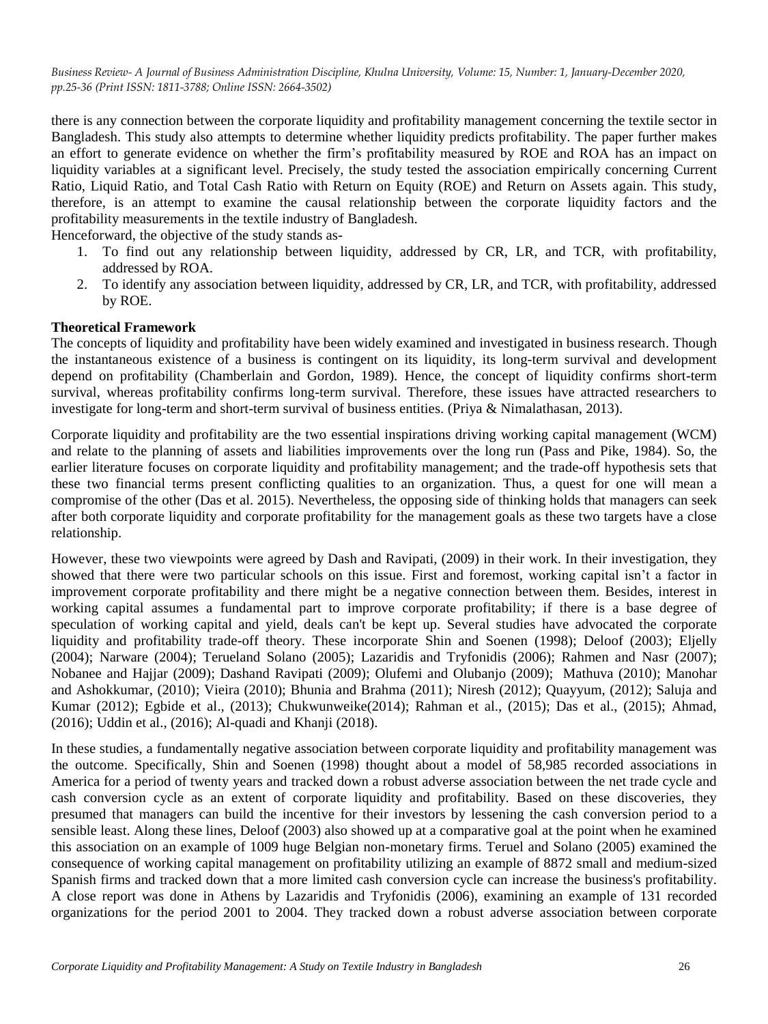there is any connection between the corporate liquidity and profitability management concerning the textile sector in Bangladesh. This study also attempts to determine whether liquidity predicts profitability. The paper further makes an effort to generate evidence on whether the firm's profitability measured by ROE and ROA has an impact on liquidity variables at a significant level. Precisely, the study tested the association empirically concerning Current Ratio, Liquid Ratio, and Total Cash Ratio with Return on Equity (ROE) and Return on Assets again. This study, therefore, is an attempt to examine the causal relationship between the corporate liquidity factors and the profitability measurements in the textile industry of Bangladesh.

Henceforward, the objective of the study stands as-

- 1. To find out any relationship between liquidity, addressed by CR, LR, and TCR, with profitability, addressed by ROA.
- 2. To identify any association between liquidity, addressed by CR, LR, and TCR, with profitability, addressed by ROE.

#### **Theoretical Framework**

The concepts of liquidity and profitability have been widely examined and investigated in business research. Though the instantaneous existence of a business is contingent on its liquidity, its long-term survival and development depend on profitability (Chamberlain and Gordon, 1989). Hence, the concept of liquidity confirms short-term survival, whereas profitability confirms long-term survival. Therefore, these issues have attracted researchers to investigate for long-term and short-term survival of business entities. (Priya & Nimalathasan, 2013).

Corporate liquidity and profitability are the two essential inspirations driving working capital management (WCM) and relate to the planning of assets and liabilities improvements over the long run (Pass and Pike, 1984). So, the earlier literature focuses on corporate liquidity and profitability management; and the trade-off hypothesis sets that these two financial terms present conflicting qualities to an organization. Thus, a quest for one will mean a compromise of the other (Das et al. 2015). Nevertheless, the opposing side of thinking holds that managers can seek after both corporate liquidity and corporate profitability for the management goals as these two targets have a close relationship.

However, these two viewpoints were agreed by Dash and Ravipati, (2009) in their work. In their investigation, they showed that there were two particular schools on this issue. First and foremost, working capital isn't a factor in improvement corporate profitability and there might be a negative connection between them. Besides, interest in working capital assumes a fundamental part to improve corporate profitability; if there is a base degree of speculation of working capital and yield, deals can't be kept up. Several studies have advocated the corporate liquidity and profitability trade-off theory. These incorporate Shin and Soenen (1998); Deloof (2003); Eljelly (2004); Narware (2004); Terueland Solano (2005); Lazaridis and Tryfonidis (2006); Rahmen and Nasr (2007); Nobanee and Hajjar (2009); Dashand Ravipati (2009); Olufemi and Olubanjo (2009); Mathuva (2010); Manohar and Ashokkumar, (2010); Vieira (2010); Bhunia and Brahma (2011); Niresh (2012); Quayyum, (2012); Saluja and Kumar (2012); Egbide et al., (2013); Chukwunweike(2014); Rahman et al., (2015); Das et al., (2015); Ahmad, (2016); Uddin et al., (2016); Al-quadi and Khanji (2018).

In these studies, a fundamentally negative association between corporate liquidity and profitability management was the outcome. Specifically, Shin and Soenen (1998) thought about a model of 58,985 recorded associations in America for a period of twenty years and tracked down a robust adverse association between the net trade cycle and cash conversion cycle as an extent of corporate liquidity and profitability. Based on these discoveries, they presumed that managers can build the incentive for their investors by lessening the cash conversion period to a sensible least. Along these lines, Deloof (2003) also showed up at a comparative goal at the point when he examined this association on an example of 1009 huge Belgian non-monetary firms. Teruel and Solano (2005) examined the consequence of working capital management on profitability utilizing an example of 8872 small and medium-sized Spanish firms and tracked down that a more limited cash conversion cycle can increase the business's profitability. A close report was done in Athens by Lazaridis and Tryfonidis (2006), examining an example of 131 recorded organizations for the period 2001 to 2004. They tracked down a robust adverse association between corporate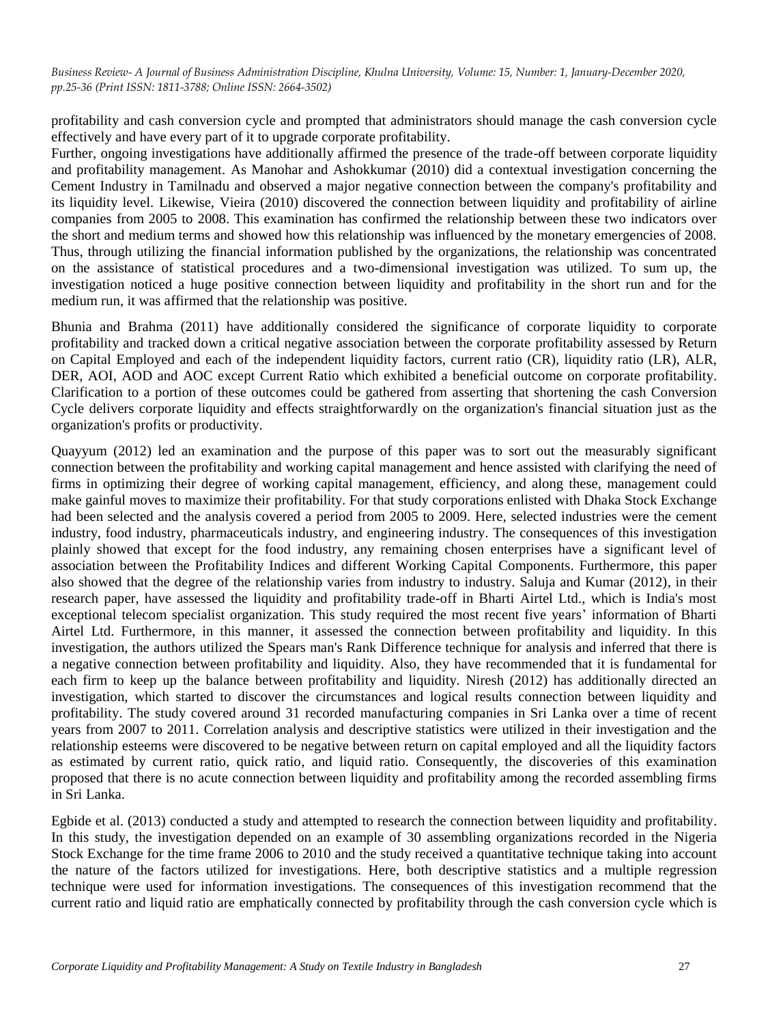profitability and cash conversion cycle and prompted that administrators should manage the cash conversion cycle effectively and have every part of it to upgrade corporate profitability.

Further, ongoing investigations have additionally affirmed the presence of the trade-off between corporate liquidity and profitability management. As Manohar and Ashokkumar (2010) did a contextual investigation concerning the Cement Industry in Tamilnadu and observed a major negative connection between the company's profitability and its liquidity level. Likewise, Vieira (2010) discovered the connection between liquidity and profitability of airline companies from 2005 to 2008. This examination has confirmed the relationship between these two indicators over the short and medium terms and showed how this relationship was influenced by the monetary emergencies of 2008. Thus, through utilizing the financial information published by the organizations, the relationship was concentrated on the assistance of statistical procedures and a two-dimensional investigation was utilized. To sum up, the investigation noticed a huge positive connection between liquidity and profitability in the short run and for the medium run, it was affirmed that the relationship was positive.

Bhunia and Brahma (2011) have additionally considered the significance of corporate liquidity to corporate profitability and tracked down a critical negative association between the corporate profitability assessed by Return on Capital Employed and each of the independent liquidity factors, current ratio (CR), liquidity ratio (LR), ALR, DER, AOI, AOD and AOC except Current Ratio which exhibited a beneficial outcome on corporate profitability. Clarification to a portion of these outcomes could be gathered from asserting that shortening the cash Conversion Cycle delivers corporate liquidity and effects straightforwardly on the organization's financial situation just as the organization's profits or productivity.

Quayyum (2012) led an examination and the purpose of this paper was to sort out the measurably significant connection between the profitability and working capital management and hence assisted with clarifying the need of firms in optimizing their degree of working capital management, efficiency, and along these, management could make gainful moves to maximize their profitability. For that study corporations enlisted with Dhaka Stock Exchange had been selected and the analysis covered a period from 2005 to 2009. Here, selected industries were the cement industry, food industry, pharmaceuticals industry, and engineering industry. The consequences of this investigation plainly showed that except for the food industry, any remaining chosen enterprises have a significant level of association between the Profitability Indices and different Working Capital Components. Furthermore, this paper also showed that the degree of the relationship varies from industry to industry. Saluja and Kumar (2012), in their research paper, have assessed the liquidity and profitability trade-off in Bharti Airtel Ltd., which is India's most exceptional telecom specialist organization. This study required the most recent five years' information of Bharti Airtel Ltd. Furthermore, in this manner, it assessed the connection between profitability and liquidity. In this investigation, the authors utilized the Spears man's Rank Difference technique for analysis and inferred that there is a negative connection between profitability and liquidity. Also, they have recommended that it is fundamental for each firm to keep up the balance between profitability and liquidity. Niresh (2012) has additionally directed an investigation, which started to discover the circumstances and logical results connection between liquidity and profitability. The study covered around 31 recorded manufacturing companies in Sri Lanka over a time of recent years from 2007 to 2011. Correlation analysis and descriptive statistics were utilized in their investigation and the relationship esteems were discovered to be negative between return on capital employed and all the liquidity factors as estimated by current ratio, quick ratio, and liquid ratio. Consequently, the discoveries of this examination proposed that there is no acute connection between liquidity and profitability among the recorded assembling firms in Sri Lanka.

Egbide et al. (2013) conducted a study and attempted to research the connection between liquidity and profitability. In this study, the investigation depended on an example of 30 assembling organizations recorded in the Nigeria Stock Exchange for the time frame 2006 to 2010 and the study received a quantitative technique taking into account the nature of the factors utilized for investigations. Here, both descriptive statistics and a multiple regression technique were used for information investigations. The consequences of this investigation recommend that the current ratio and liquid ratio are emphatically connected by profitability through the cash conversion cycle which is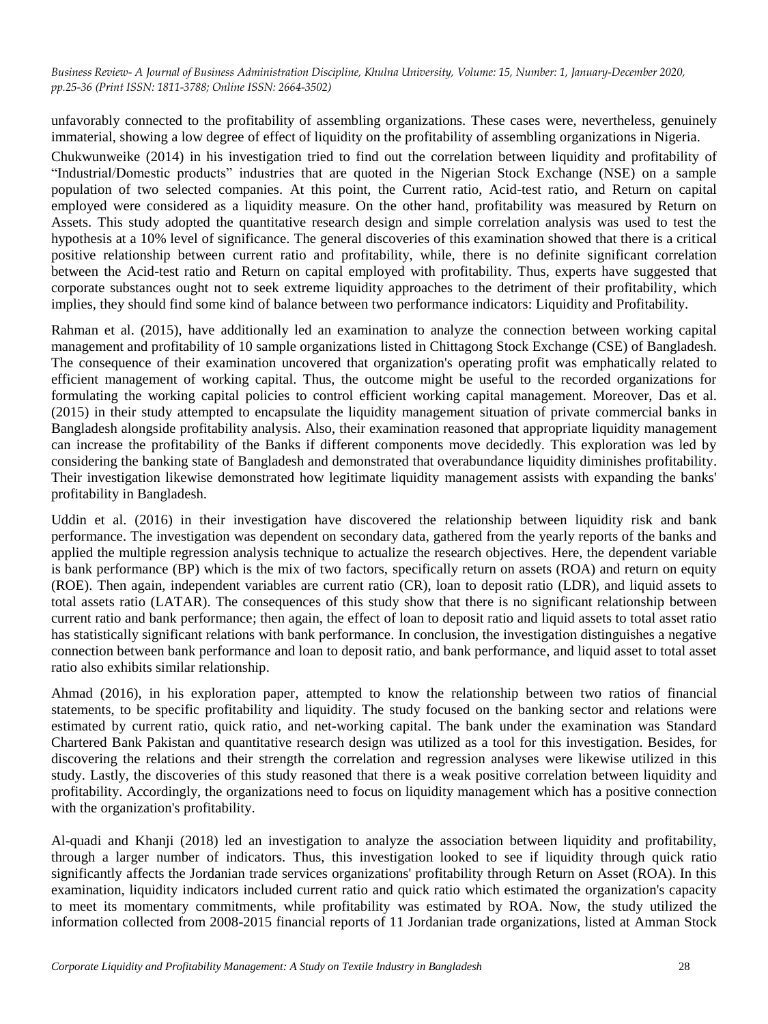unfavorably connected to the profitability of assembling organizations. These cases were, nevertheless, genuinely immaterial, showing a low degree of effect of liquidity on the profitability of assembling organizations in Nigeria.

Chukwunweike (2014) in his investigation tried to find out the correlation between liquidity and profitability of "Industrial/Domestic products" industries that are quoted in the Nigerian Stock Exchange (NSE) on a sample population of two selected companies. At this point, the Current ratio, Acid-test ratio, and Return on capital employed were considered as a liquidity measure. On the other hand, profitability was measured by Return on Assets. This study adopted the quantitative research design and simple correlation analysis was used to test the hypothesis at a 10% level of significance. The general discoveries of this examination showed that there is a critical positive relationship between current ratio and profitability, while, there is no definite significant correlation between the Acid-test ratio and Return on capital employed with profitability. Thus, experts have suggested that corporate substances ought not to seek extreme liquidity approaches to the detriment of their profitability, which implies, they should find some kind of balance between two performance indicators: Liquidity and Profitability.

Rahman et al. (2015), have additionally led an examination to analyze the connection between working capital management and profitability of 10 sample organizations listed in Chittagong Stock Exchange (CSE) of Bangladesh. The consequence of their examination uncovered that organization's operating profit was emphatically related to efficient management of working capital. Thus, the outcome might be useful to the recorded organizations for formulating the working capital policies to control efficient working capital management. Moreover, Das et al. (2015) in their study attempted to encapsulate the liquidity management situation of private commercial banks in Bangladesh alongside profitability analysis. Also, their examination reasoned that appropriate liquidity management can increase the profitability of the Banks if different components move decidedly. This exploration was led by considering the banking state of Bangladesh and demonstrated that overabundance liquidity diminishes profitability. Their investigation likewise demonstrated how legitimate liquidity management assists with expanding the banks' profitability in Bangladesh.

Uddin et al. (2016) in their investigation have discovered the relationship between liquidity risk and bank performance. The investigation was dependent on secondary data, gathered from the yearly reports of the banks and applied the multiple regression analysis technique to actualize the research objectives. Here, the dependent variable is bank performance (BP) which is the mix of two factors, specifically return on assets (ROA) and return on equity (ROE). Then again, independent variables are current ratio (CR), loan to deposit ratio (LDR), and liquid assets to total assets ratio (LATAR). The consequences of this study show that there is no significant relationship between current ratio and bank performance; then again, the effect of loan to deposit ratio and liquid assets to total asset ratio has statistically significant relations with bank performance. In conclusion, the investigation distinguishes a negative connection between bank performance and loan to deposit ratio, and bank performance, and liquid asset to total asset ratio also exhibits similar relationship.

Ahmad (2016), in his exploration paper, attempted to know the relationship between two ratios of financial statements, to be specific profitability and liquidity. The study focused on the banking sector and relations were estimated by current ratio, quick ratio, and net-working capital. The bank under the examination was Standard Chartered Bank Pakistan and quantitative research design was utilized as a tool for this investigation. Besides, for discovering the relations and their strength the correlation and regression analyses were likewise utilized in this study. Lastly, the discoveries of this study reasoned that there is a weak positive correlation between liquidity and profitability. Accordingly, the organizations need to focus on liquidity management which has a positive connection with the organization's profitability.

Al-quadi and Khanji (2018) led an investigation to analyze the association between liquidity and profitability, through a larger number of indicators. Thus, this investigation looked to see if liquidity through quick ratio significantly affects the Jordanian trade services organizations' profitability through Return on Asset (ROA). In this examination, liquidity indicators included current ratio and quick ratio which estimated the organization's capacity to meet its momentary commitments, while profitability was estimated by ROA. Now, the study utilized the information collected from 2008-2015 financial reports of 11 Jordanian trade organizations, listed at Amman Stock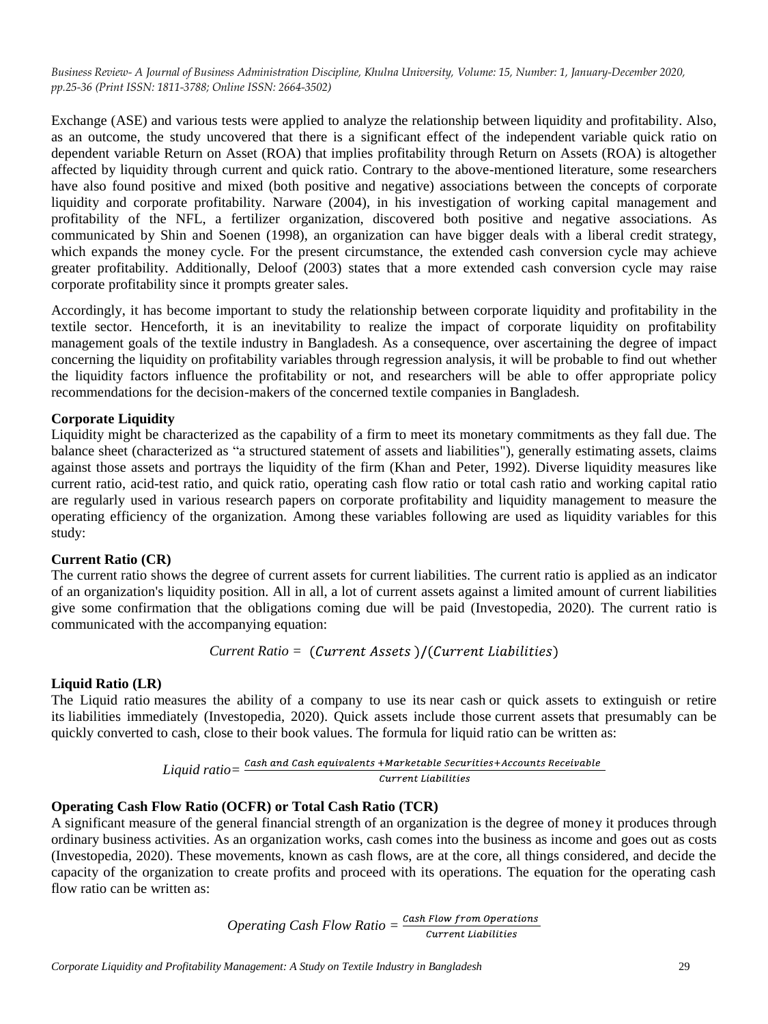Exchange (ASE) and various tests were applied to analyze the relationship between liquidity and profitability. Also, as an outcome, the study uncovered that there is a significant effect of the independent variable quick ratio on dependent variable Return on Asset (ROA) that implies profitability through Return on Assets (ROA) is altogether affected by liquidity through current and quick ratio. Contrary to the above-mentioned literature, some researchers have also found positive and mixed (both positive and negative) associations between the concepts of corporate liquidity and corporate profitability. Narware (2004), in his investigation of working capital management and profitability of the NFL, a fertilizer organization, discovered both positive and negative associations. As communicated by Shin and Soenen (1998), an organization can have bigger deals with a liberal credit strategy, which expands the money cycle. For the present circumstance, the extended cash conversion cycle may achieve greater profitability. Additionally, Deloof (2003) states that a more extended cash conversion cycle may raise corporate profitability since it prompts greater sales.

Accordingly, it has become important to study the relationship between corporate liquidity and profitability in the textile sector. Henceforth, it is an inevitability to realize the impact of corporate liquidity on profitability management goals of the textile industry in Bangladesh. As a consequence, over ascertaining the degree of impact concerning the liquidity on profitability variables through regression analysis, it will be probable to find out whether the liquidity factors influence the profitability or not, and researchers will be able to offer appropriate policy recommendations for the decision-makers of the concerned textile companies in Bangladesh.

## **Corporate Liquidity**

Liquidity might be characterized as the capability of a firm to meet its monetary commitments as they fall due. The balance sheet (characterized as "a structured statement of assets and liabilities"), generally estimating assets, claims against those assets and portrays the liquidity of the firm (Khan and Peter, 1992). Diverse liquidity measures like current ratio, acid-test ratio, and quick ratio, operating cash flow ratio or total cash ratio and working capital ratio are regularly used in various research papers on corporate profitability and liquidity management to measure the operating efficiency of the organization. Among these variables following are used as liquidity variables for this study:

## **Current Ratio (CR)**

The current ratio shows the degree of current assets for current liabilities. The current ratio is applied as an indicator of an organization's liquidity position. All in all, a lot of current assets against a limited amount of current liabilities give some confirmation that the obligations coming due will be paid (Investopedia, 2020). The current ratio is communicated with the accompanying equation:

*Current Ratio =*

## **Liquid Ratio (LR)**

The Liquid ratio measures the ability of a company to use its near cash or quick assets to extinguish or retire its liabilities immediately (Investopedia, 2020). Quick assets include those [current assets](http://en.wikipedia.org/wiki/Current_asset) that presumably can be quickly converted to cash, close to their [book values.](http://en.wikipedia.org/wiki/Book_value) The formula for liquid ratio can be written as:

$$
Liquid\ ratio = \frac{Cash\ and\ Cash\ equivalents + Marketable\ Securities + Access. Recounts\ Recevable}{Current\ Liabilities}
$$

## **Operating Cash Flow Ratio (OCFR) or Total Cash Ratio (TCR)**

A significant measure of the general financial strength of an organization is the degree of money it produces through ordinary business activities. As an organization works, cash comes into the business as income and goes out as costs (Investopedia, 2020). These movements, known as cash flows, are at the core, all things considered, and decide the capacity of the organization to create profits and proceed with its operations. The equation for the operating cash flow ratio can be written as:

*Operating Cash Flow Ratio* =  $\frac{Cash Flow from Operations}{Current Liabilities}$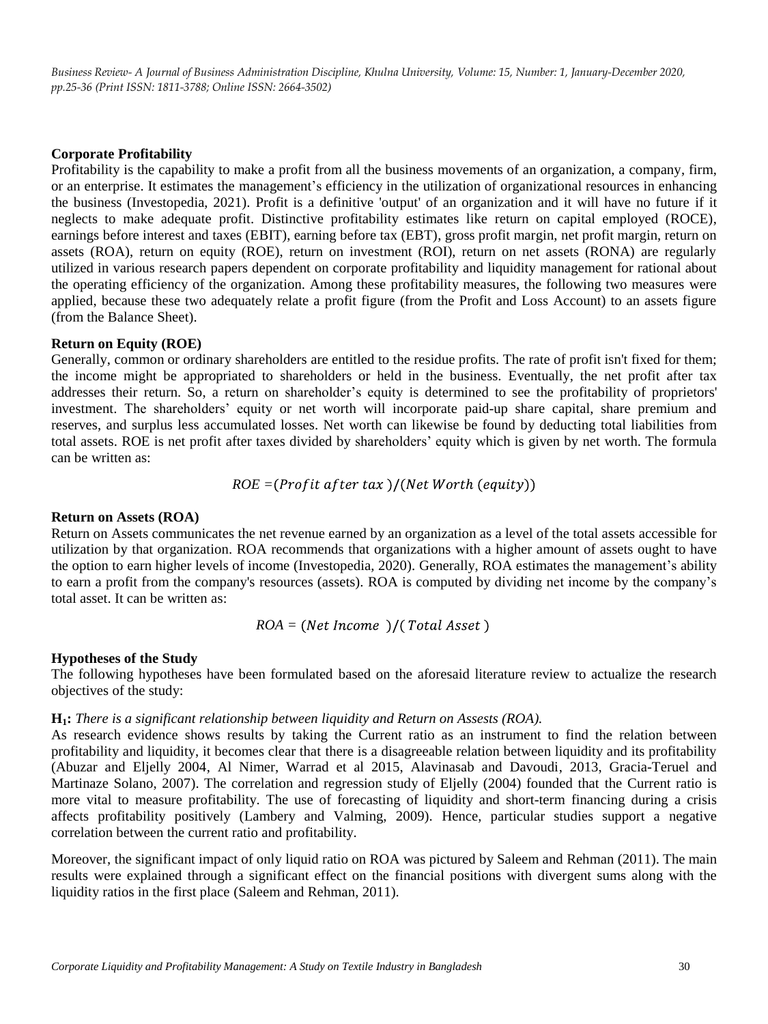#### **Corporate Profitability**

Profitability is the capability to make a profit from all the business movements of an organization, a company, firm, or an enterprise. It estimates the management's efficiency in the utilization of organizational resources in enhancing the business (Investopedia, 2021). Profit is a definitive 'output' of an organization and it will have no future if it neglects to make adequate profit. Distinctive profitability estimates like return on capital employed (ROCE), earnings before interest and taxes (EBIT), earning before tax (EBT), gross profit margin, net profit margin, return on assets (ROA), return on equity (ROE), return on investment (ROI), return on net assets (RONA) are regularly utilized in various research papers dependent on corporate profitability and liquidity management for rational about the operating efficiency of the organization. Among these profitability measures, the following two measures were applied, because these two adequately relate a profit figure (from the Profit and Loss Account) to an assets figure (from the Balance Sheet).

#### **Return on Equity (ROE)**

Generally, common or ordinary shareholders are entitled to the residue profits. The rate of profit isn't fixed for them; the income might be appropriated to shareholders or held in the business. Eventually, the net profit after tax addresses their return. So, a return on shareholder's equity is determined to see the profitability of proprietors' investment. The shareholders' equity or net worth will incorporate paid-up share capital, share premium and reserves, and surplus less accumulated losses. Net worth can likewise be found by deducting total liabilities from total assets. ROE is net profit after taxes divided by shareholders' equity which is given by net worth. The formula can be written as:

$$
ROE = (Profit after tax)/(Net Worth (equity))
$$

#### **Return on Assets (ROA)**

Return on Assets communicates the net revenue earned by an organization as a level of the total assets accessible for utilization by that organization. ROA recommends that organizations with a higher amount of assets ought to have the option to earn higher levels of income (Investopedia, 2020). Generally, ROA estimates the management's ability to earn a profit from the company's resources (assets). ROA is computed by dividing net income by the company's total asset. It can be written as:

$$
ROA = (Net Income) / (Total Asset)
$$

#### **Hypotheses of the Study**

The following hypotheses have been formulated based on the aforesaid literature review to actualize the research objectives of the study:

#### **H1:** *There is a significant relationship between liquidity and Return on Assests (ROA).*

As research evidence shows results by taking the Current ratio as an instrument to find the relation between profitability and liquidity, it becomes clear that there is a disagreeable relation between liquidity and its profitability (Abuzar and Eljelly 2004, Al Nimer, Warrad et al 2015, Alavinasab and Davoudi, 2013, Gracia-Teruel and Martinaze Solano, 2007). The correlation and regression study of Eljelly (2004) founded that the Current ratio is more vital to measure profitability. The use of forecasting of liquidity and short-term financing during a crisis affects profitability positively (Lambery and Valming, 2009). Hence, particular studies support a negative correlation between the current ratio and profitability.

Moreover, the significant impact of only liquid ratio on ROA was pictured by Saleem and Rehman (2011). The main results were explained through a significant effect on the financial positions with divergent sums along with the liquidity ratios in the first place (Saleem and Rehman, 2011).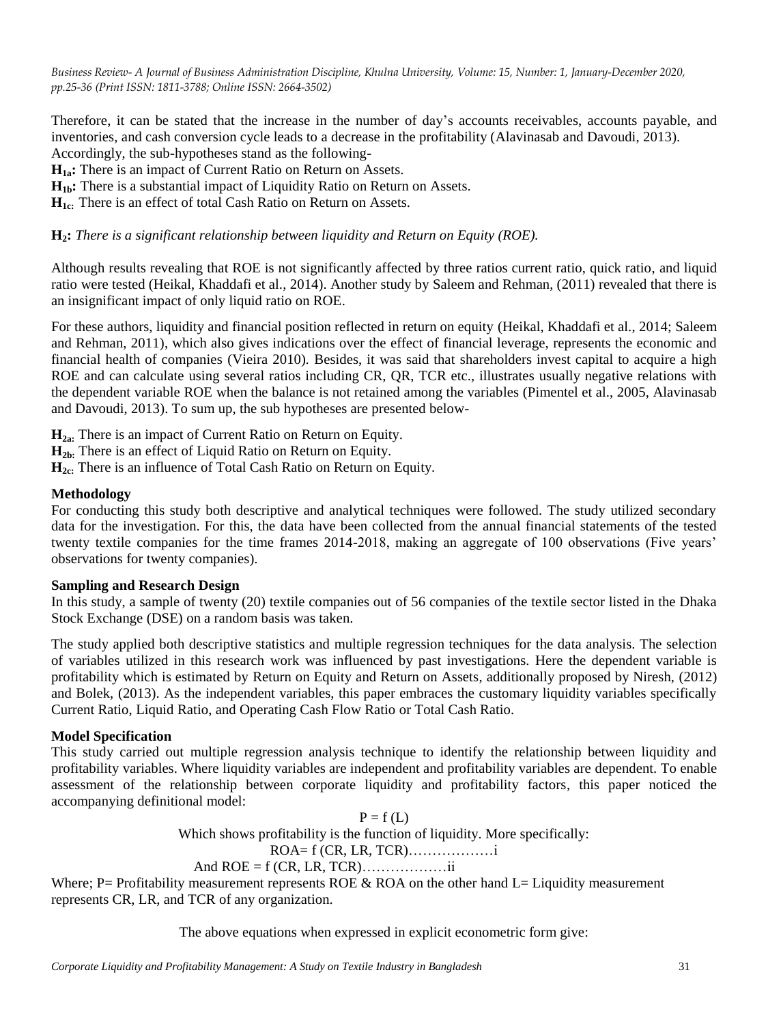Therefore, it can be stated that the increase in the number of day's accounts receivables, accounts payable, and inventories, and cash conversion cycle leads to a decrease in the profitability (Alavinasab and Davoudi, 2013). Accordingly, the sub-hypotheses stand as the following-

**H1a:** There is an impact of Current Ratio on Return on Assets.

**H1b:** There is a substantial impact of Liquidity Ratio on Return on Assets.

**H1c:** There is an effect of total Cash Ratio on Return on Assets.

## **H2:** *There is a significant relationship between liquidity and Return on Equity (ROE).*

Although results revealing that ROE is not significantly affected by three ratios current ratio, quick ratio, and liquid ratio were tested (Heikal, Khaddafi et al., 2014). Another study by Saleem and Rehman, (2011) revealed that there is an insignificant impact of only liquid ratio on ROE.

For these authors, liquidity and financial position reflected in return on equity (Heikal, Khaddafi et al., 2014; Saleem and Rehman, 2011), which also gives indications over the effect of financial leverage, represents the economic and financial health of companies (Vieira 2010)*.* Besides, it was said that shareholders invest capital to acquire a high ROE and can calculate using several ratios including CR, QR, TCR etc., illustrates usually negative relations with the dependent variable ROE when the balance is not retained among the variables (Pimentel et al., 2005, Alavinasab and Davoudi, 2013). To sum up, the sub hypotheses are presented below-

**H2a:** There is an impact of Current Ratio on Return on Equity.

**H2b:** There is an effect of Liquid Ratio on Return on Equity.

**H**<sub>2c:</sub> There is an influence of Total Cash Ratio on Return on Equity.

## **Methodology**

For conducting this study both descriptive and analytical techniques were followed. The study utilized secondary data for the investigation. For this, the data have been collected from the annual financial statements of the tested twenty textile companies for the time frames 2014-2018, making an aggregate of 100 observations (Five years' observations for twenty companies).

## **Sampling and Research Design**

In this study, a sample of twenty (20) textile companies out of 56 companies of the textile sector listed in the Dhaka Stock Exchange (DSE) on a random basis was taken.

The study applied both descriptive statistics and multiple regression techniques for the data analysis. The selection of variables utilized in this research work was influenced by past investigations. Here the dependent variable is profitability which is estimated by Return on Equity and Return on Assets, additionally proposed by Niresh, (2012) and Bolek, (2013). As the independent variables, this paper embraces the customary liquidity variables specifically Current Ratio, Liquid Ratio, and Operating Cash Flow Ratio or Total Cash Ratio.

## **Model Specification**

This study carried out multiple regression analysis technique to identify the relationship between liquidity and profitability variables. Where liquidity variables are independent and profitability variables are dependent. To enable assessment of the relationship between corporate liquidity and profitability factors, this paper noticed the accompanying definitional model:

> $P = f(L)$ Which shows profitability is the function of liquidity. More specifically: ROA= f (CR, LR, TCR)………………i And ROE = f (CR, LR, TCR)………………ii

Where; P= Profitability measurement represents ROE & ROA on the other hand  $L=$  Liquidity measurement represents CR, LR, and TCR of any organization.

The above equations when expressed in explicit econometric form give: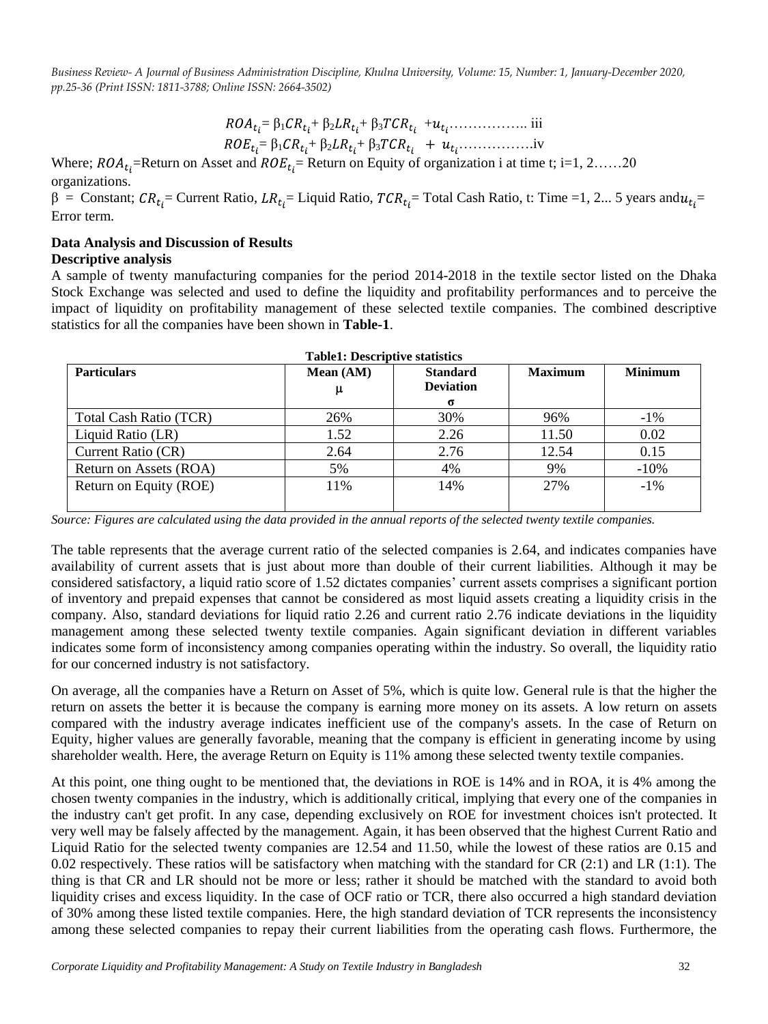= β<sup>1</sup> + β<sup>2</sup> + β<sup>3</sup>+ …………….. iii = β<sup>1</sup> + β<sup>2</sup> + β<sup>3</sup>…………….iv

Where;  $ROA_{t_i}$ =Return on Asset and  $ROE_{t_i}$ = Return on Equity of organization i at time t; i=1, 2……20 organizations.

 $β =$  Constant;  $CR_{t_i}$ = Current Ratio,  $LR_{t_i}$ = Liquid Ratio,  $TCR_{t_i}$ = Total Cash Ratio, t: Time =1, 2... 5 years and  $u_{t_i}$ = Error term.

# **Data Analysis and Discussion of Results**

**Descriptive analysis**

A sample of twenty manufacturing companies for the period 2014-2018 in the textile sector listed on the Dhaka Stock Exchange was selected and used to define the liquidity and profitability performances and to perceive the impact of liquidity on profitability management of these selected textile companies. The combined descriptive statistics for all the companies have been shown in **Table-1**.

| <b>Particulars</b>     | Mean (AM) | <b>Standard</b><br><b>Deviation</b><br>σ | <b>Maximum</b> | <b>Minimum</b> |
|------------------------|-----------|------------------------------------------|----------------|----------------|
| Total Cash Ratio (TCR) | 26%       | 30%                                      | 96%            | $-1\%$         |
| Liquid Ratio (LR)      | 1.52      | 2.26                                     | 11.50          | 0.02           |
| Current Ratio (CR)     | 2.64      | 2.76                                     | 12.54          | 0.15           |
| Return on Assets (ROA) | 5%        | 4%                                       | 9%             | $-10%$         |
| Return on Equity (ROE) | 11%       | 14%                                      | 27%            | $-1\%$         |

**Table1: Descriptive statistics**

*Source: Figures are calculated using the data provided in the annual reports of the selected twenty textile companies.*

The table represents that the average current ratio of the selected companies is 2.64, and indicates companies have availability of current assets that is just about more than double of their current liabilities. Although it may be considered satisfactory, a liquid ratio score of 1.52 dictates companies' current assets comprises a significant portion of inventory and prepaid expenses that cannot be considered as most liquid assets creating a liquidity crisis in the company. Also, standard deviations for liquid ratio 2.26 and current ratio 2.76 indicate deviations in the liquidity management among these selected twenty textile companies. Again significant deviation in different variables indicates some form of inconsistency among companies operating within the industry. So overall, the liquidity ratio for our concerned industry is not satisfactory.

On average, all the companies have a Return on Asset of 5%, which is quite low. General rule is that the higher the return on assets the better it is because the company is earning more money on its assets. A low return on assets compared with the industry average indicates inefficient use of the company's assets. In the case of Return on Equity, higher values are generally favorable, meaning that the company is efficient in generating income by using shareholder wealth. Here, the average Return on Equity is 11% among these selected twenty textile companies.

At this point, one thing ought to be mentioned that, the deviations in ROE is 14% and in ROA, it is 4% among the chosen twenty companies in the industry, which is additionally critical, implying that every one of the companies in the industry can't get profit. In any case, depending exclusively on ROE for investment choices isn't protected. It very well may be falsely affected by the management. Again, it has been observed that the highest Current Ratio and Liquid Ratio for the selected twenty companies are 12.54 and 11.50, while the lowest of these ratios are 0.15 and 0.02 respectively. These ratios will be satisfactory when matching with the standard for CR (2:1) and LR (1:1). The thing is that CR and LR should not be more or less; rather it should be matched with the standard to avoid both liquidity crises and excess liquidity. In the case of OCF ratio or TCR, there also occurred a high standard deviation of 30% among these listed textile companies. Here, the high standard deviation of TCR represents the inconsistency among these selected companies to repay their current liabilities from the operating cash flows. Furthermore, the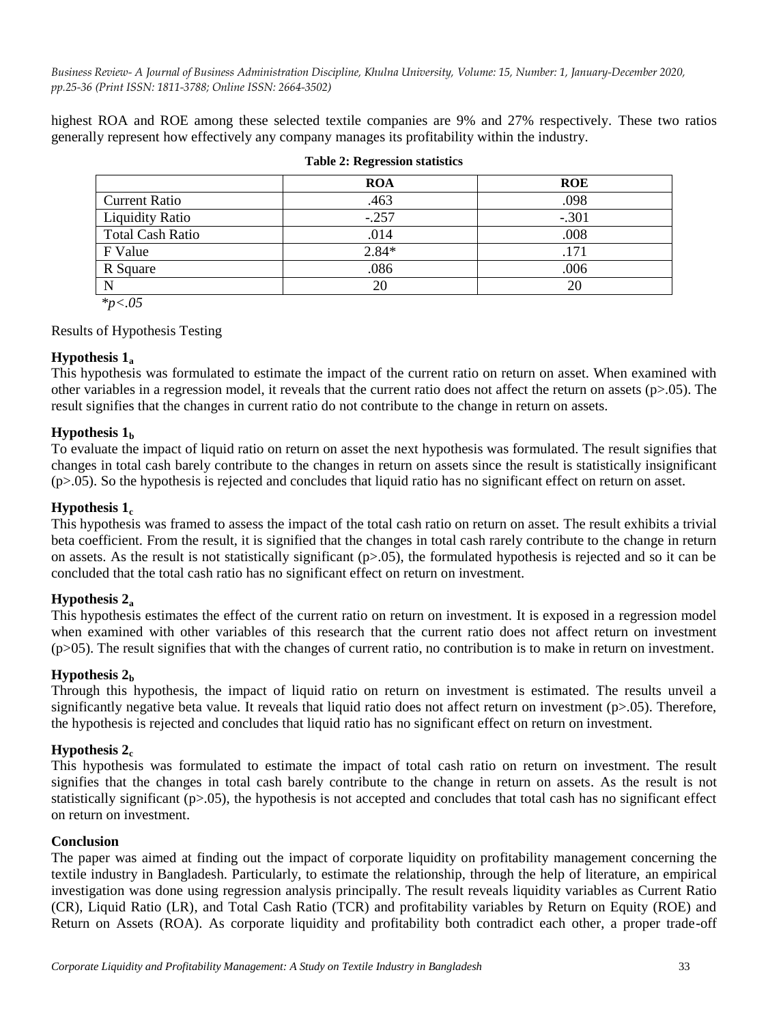highest ROA and ROE among these selected textile companies are 9% and 27% respectively. These two ratios generally represent how effectively any company manages its profitability within the industry.

|                         | <b>ROA</b> | <b>ROE</b> |  |  |
|-------------------------|------------|------------|--|--|
| <b>Current Ratio</b>    | .463       | .098       |  |  |
| <b>Liquidity Ratio</b>  | $-.257$    | $-.301$    |  |  |
| <b>Total Cash Ratio</b> | .014       | .008       |  |  |
| F Value                 | $2.84*$    | .171       |  |  |
| R Square                | .086       | .006       |  |  |
| N                       | 20         | 20         |  |  |
|                         |            |            |  |  |

#### **Table 2: Regression statistics**

 *\*p<.05*

Results of Hypothesis Testing

## **Hypothesis 1<sup>a</sup>**

This hypothesis was formulated to estimate the impact of the current ratio on return on asset. When examined with other variables in a regression model, it reveals that the current ratio does not affect the return on assets  $(p>0.05)$ . The result signifies that the changes in current ratio do not contribute to the change in return on assets.

## **Hypothesis 1<sup>b</sup>**

To evaluate the impact of liquid ratio on return on asset the next hypothesis was formulated. The result signifies that changes in total cash barely contribute to the changes in return on assets since the result is statistically insignificant (p>.05). So the hypothesis is rejected and concludes that liquid ratio has no significant effect on return on asset.

## **Hypothesis 1<sup>c</sup>**

This hypothesis was framed to assess the impact of the total cash ratio on return on asset. The result exhibits a trivial beta coefficient. From the result, it is signified that the changes in total cash rarely contribute to the change in return on assets. As the result is not statistically significant  $(p>0.05)$ , the formulated hypothesis is rejected and so it can be concluded that the total cash ratio has no significant effect on return on investment.

## **Hypothesis 2<sup>a</sup>**

This hypothesis estimates the effect of the current ratio on return on investment. It is exposed in a regression model when examined with other variables of this research that the current ratio does not affect return on investment  $(p>05)$ . The result signifies that with the changes of current ratio, no contribution is to make in return on investment.

## **Hypothesis 2<sup>b</sup>**

Through this hypothesis, the impact of liquid ratio on return on investment is estimated. The results unveil a significantly negative beta value. It reveals that liquid ratio does not affect return on investment ( $p>0.05$ ). Therefore, the hypothesis is rejected and concludes that liquid ratio has no significant effect on return on investment.

## **Hypothesis 2<sup>c</sup>**

This hypothesis was formulated to estimate the impact of total cash ratio on return on investment. The result signifies that the changes in total cash barely contribute to the change in return on assets. As the result is not statistically significant  $(p>0.05)$ , the hypothesis is not accepted and concludes that total cash has no significant effect on return on investment.

## **Conclusion**

The paper was aimed at finding out the impact of corporate liquidity on profitability management concerning the textile industry in Bangladesh. Particularly, to estimate the relationship, through the help of literature, an empirical investigation was done using regression analysis principally. The result reveals liquidity variables as Current Ratio (CR), Liquid Ratio (LR), and Total Cash Ratio (TCR) and profitability variables by Return on Equity (ROE) and Return on Assets (ROA). As corporate liquidity and profitability both contradict each other, a proper trade-off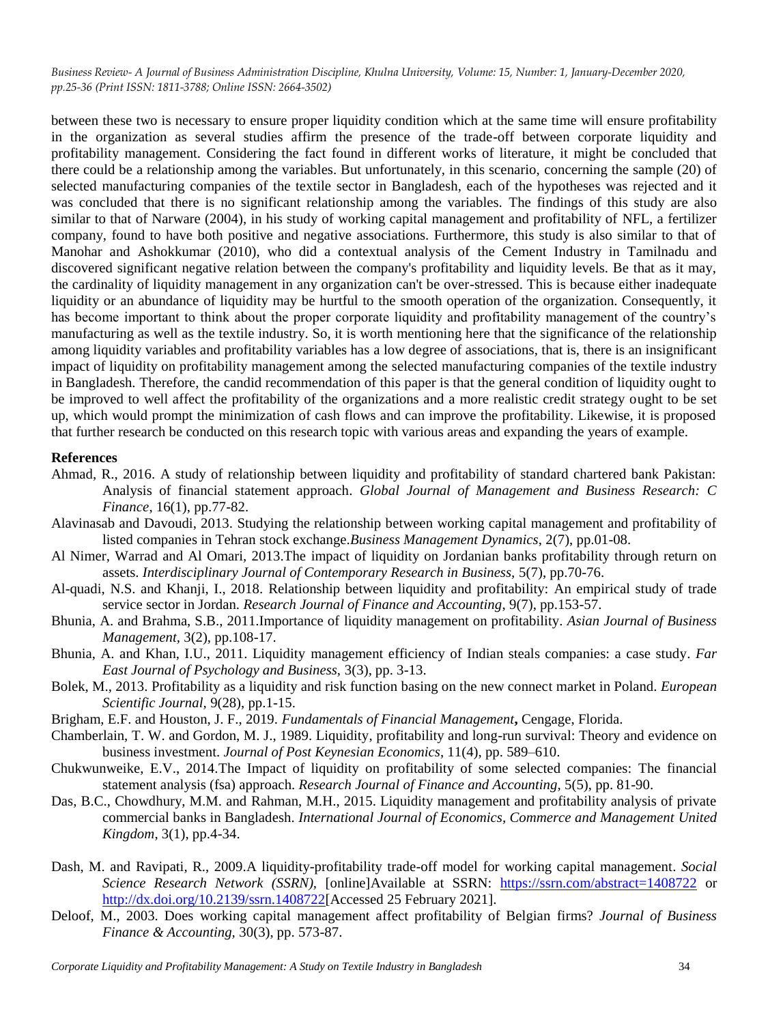between these two is necessary to ensure proper liquidity condition which at the same time will ensure profitability in the organization as several studies affirm the presence of the trade-off between corporate liquidity and profitability management. Considering the fact found in different works of literature, it might be concluded that there could be a relationship among the variables. But unfortunately, in this scenario, concerning the sample (20) of selected manufacturing companies of the textile sector in Bangladesh, each of the hypotheses was rejected and it was concluded that there is no significant relationship among the variables. The findings of this study are also similar to that of Narware (2004), in his study of working capital management and profitability of NFL, a fertilizer company, found to have both positive and negative associations. Furthermore, this study is also similar to that of Manohar and Ashokkumar (2010), who did a contextual analysis of the Cement Industry in Tamilnadu and discovered significant negative relation between the company's profitability and liquidity levels. Be that as it may, the cardinality of liquidity management in any organization can't be over-stressed. This is because either inadequate liquidity or an abundance of liquidity may be hurtful to the smooth operation of the organization. Consequently, it has become important to think about the proper corporate liquidity and profitability management of the country's manufacturing as well as the textile industry. So, it is worth mentioning here that the significance of the relationship among liquidity variables and profitability variables has a low degree of associations, that is, there is an insignificant impact of liquidity on profitability management among the selected manufacturing companies of the textile industry in Bangladesh. Therefore, the candid recommendation of this paper is that the general condition of liquidity ought to be improved to well affect the profitability of the organizations and a more realistic credit strategy ought to be set up, which would prompt the minimization of cash flows and can improve the profitability. Likewise, it is proposed that further research be conducted on this research topic with various areas and expanding the years of example.

#### **References**

- Ahmad, R., 2016. A study of relationship between liquidity and profitability of standard chartered bank Pakistan: Analysis of financial statement approach. *Global Journal of Management and Business Research: C Finance*, 16(1), pp.77-82.
- Alavinasab and Davoudi, 2013. Studying the relationship between working capital management and profitability of listed companies in Tehran stock exchange.*Business Management Dynamics*, 2(7), pp.01-08.
- Al Nimer, Warrad and Al Omari, 2013.The impact of liquidity on Jordanian banks profitability through return on assets. *Interdisciplinary Journal of Contemporary Research in Business,* 5(7), pp.70-76.
- Al-quadi, N.S. and Khanji, I., 2018. Relationship between liquidity and profitability: An empirical study of trade service sector in Jordan. *Research Journal of Finance and Accounting*, 9(7), pp.153-57.
- Bhunia, A. and Brahma, S.B., 2011.Importance of liquidity management on profitability. *Asian Journal of Business Management,* 3(2), pp.108-17.
- Bhunia, A. and Khan, I.U., 2011. Liquidity management efficiency of Indian steals companies: a case study. *Far East Journal of Psychology and Business,* 3(3), pp. 3-13.
- Bolek, M., 2013. Profitability as a liquidity and risk function basing on the new connect market in Poland. *European Scientific Journal,* 9(28), pp.1-15.
- Brigham, E.F. and Houston, J. F., 2019. *Fundamentals of Financial Management***,** Cengage, Florida.
- Chamberlain, T. W. and Gordon, M. J., 1989. Liquidity, profitability and long-run survival: Theory and evidence on business investment. *Journal of Post Keynesian Economics*, 11(4), pp. 589–610.
- Chukwunweike, E.V., 2014.The Impact of liquidity on profitability of some selected companies: The financial statement analysis (fsa) approach. *Research Journal of Finance and Accounting,* 5(5), pp. 81-90.
- Das, B.C., Chowdhury, M.M. and Rahman, M.H., 2015. Liquidity management and profitability analysis of private commercial banks in Bangladesh. *International Journal of Economics, Commerce and Management United Kingdom*, 3(1), pp.4-34.
- [Dash,](https://papers.ssrn.com/sol3/cf_dev/AbsByAuth.cfm?per_id=986733) M. and [Ravipati,](https://papers.ssrn.com/sol3/cf_dev/AbsByAuth.cfm?per_id=1208759) R., 2009.A liquidity-profitability trade-off model for working capital management. *Social Science Research Network (SSRN),* [online]Available at SSRN: <https://ssrn.com/abstract=1408722> or [http://dx.doi.org/10.2139/ssrn.1408722\[](https://dx.doi.org/10.2139/ssrn.1408722)Accessed 25 February 2021].
- Deloof, M., 2003. Does working capital management affect profitability of Belgian firms? *Journal of Business Finance & Accounting,* 30(3), pp. 573-87.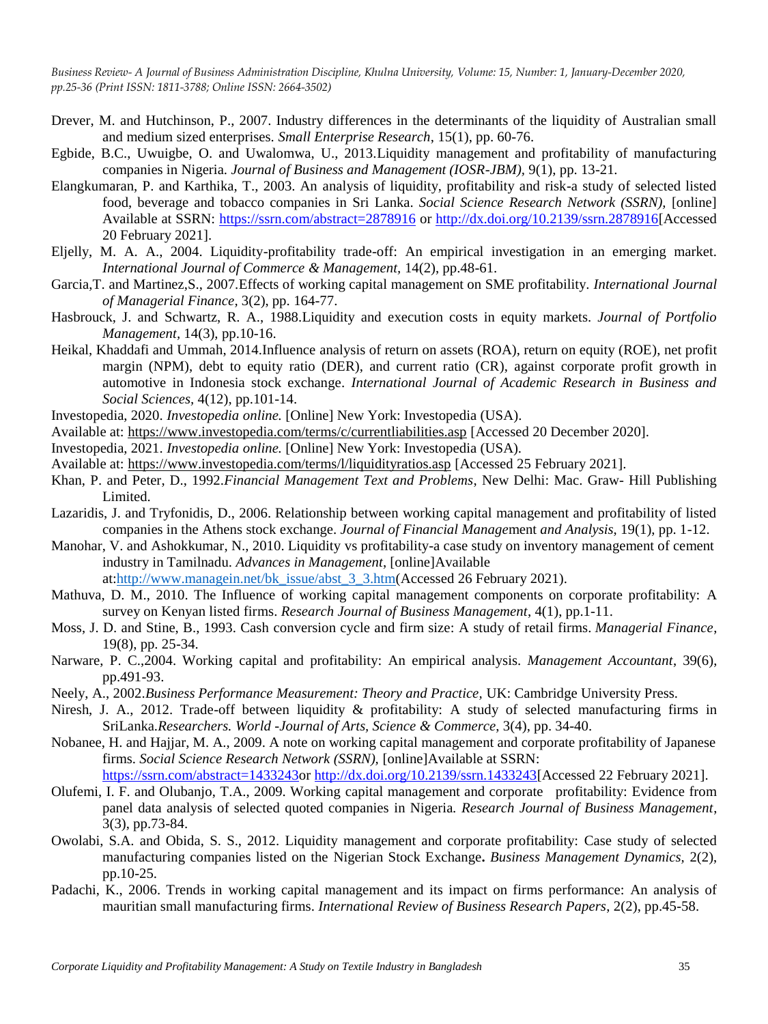- Drever, M. and Hutchinson, P., 2007. Industry differences in the determinants of the liquidity of Australian small and medium sized enterprises. *Small Enterprise Research*, 15(1), pp. 60-76.
- Egbide, B.C., Uwuigbe, O. and Uwalomwa, U., 2013.Liquidity management and profitability of manufacturing companies in Nigeria. *Journal of Business and Management (IOSR-JBM),* 9(1), pp. 13-21*.*
- Elangkumaran, P. and Karthika, T., 2003. An analysis of liquidity, profitability and risk-a study of selected listed food, beverage and tobacco companies in Sri Lanka. *Social Science Research Network (SSRN),* [online] Available at SSRN:<https://ssrn.com/abstract=2878916> or [http://dx.doi.org/10.2139/ssrn.2878916\[](https://dx.doi.org/10.2139/ssrn.2878916)Accessed 20 February 2021].
- Eljelly, M. A. A., 2004. Liquidity-profitability trade-off: An empirical investigation in an emerging market. *International Journal of Commerce & Management,* 14(2), pp.48-61.
- Garcia,T. and Martinez,S., 2007*.*Effects of working capital management on SME profitability. *[International Journal](https://econpapers.repec.org/article/emeijmfpp/)  [of Managerial Finance,](https://econpapers.repec.org/article/emeijmfpp/)* 3(2), pp. 164-77.
- Hasbrouck, J. and [Schwartz, R. A.,](https://search.proquest.com/indexinglinkhandler/sng/au/Schwartz,+Robert+A/$N;jsessionid=52D988EF494E3E720F3E9462437C56F3.i-069ae8dddd1aec485) 1988.Liquidity and execution costs in equity markets. *[Journal of Portfolio](https://search.proquest.com/pubidlinkhandler/sng/pubtitle/Journal+of+Portfolio+Management/$N/49137/OpenView/195581169/$B/C1A99199B3041CFPQ/1;jsessionid=52D988EF494E3E720F3E9462437C56F3.i-069ae8dddd1aec485)  [Management,](https://search.proquest.com/pubidlinkhandler/sng/pubtitle/Journal+of+Portfolio+Management/$N/49137/OpenView/195581169/$B/C1A99199B3041CFPQ/1;jsessionid=52D988EF494E3E720F3E9462437C56F3.i-069ae8dddd1aec485)* 14(3), pp.10-16.
- Heikal, Khaddafi and Ummah, 2014.Influence analysis of return on assets (ROA), return on equity (ROE), net profit margin (NPM), debt to equity ratio (DER), and current ratio (CR), against corporate profit growth in automotive in Indonesia stock exchange. *International Journal of Academic Research in Business and Social Sciences,* 4(12), pp.101-14.
- Investopedia, 2020. *Investopedia online.* [Online] New York: Investopedia (USA).
- Available at:<https://www.investopedia.com/terms/c/currentliabilities.asp> [Accessed 20 December 2020].
- Investopedia, 2021. *Investopedia online.* [Online] New York: Investopedia (USA).
- Available at: [https://www.investopedia.com/terms/l/liquidityratios.asp](https://www.investopedia.com/terms/l/liquidityratios.asp%20%5bA) [Accessed 25 February 2021].
- Khan, P. and Peter, D., 1992.*Financial Management Text and Problems*, New Delhi: Mac. Graw- Hill Publishing Limited.
- Lazaridis, J. and Tryfonidis, D., 2006. Relationship between working capital management and profitability of listed companies in the Athens stock exchange. *Journal of Financial Manage*ment *and Analysis*, 19(1), pp. 1-12.
- Manohar, V. and Ashokkumar, N., 2010. Liquidity vs profitability-a case study on inventory management of cement industry in Tamilnadu. *Advances in Management*, [online]Available at[:http://www.managein.net/bk\\_issue/abst\\_3\\_3.htm\(](https://econpapers.repec.org/scripts/redir.pf?u=http%3A%2F%2Fwww.managein.net%2Fbk_issue%2Fabst_3_3.htm;h=repec:mgn:journl:v:3:y:2010:i:3:a:10)Accessed 26 February 2021).
- Mathuva, D. M., 2010. The Influence of working capital management components on corporate profitability: A survey on Kenyan listed firms. *Research Journal of Business Management*, 4(1), pp.1-11.
- Moss, J. D. and Stine, B., 1993. Cash conversion cycle and firm size: A study of retail firms. *Managerial Finance*, 19(8), pp. 25-34.
- Narware, P. C.,2004. Working capital and profitability: An empirical analysis. *Management Accountant*, 39(6), pp.491-93.
- Neely, A., 2002.*Business Performance Measurement: Theory and Practice,* UK: Cambridge University Press.
- Niresh, J. A., 2012. Trade-off between liquidity & profitability: A study of selected manufacturing firms in SriLanka.*Researchers. World -Journal of Arts, Science & Commerce*, 3(4), pp. 34-40.
- Nobanee, H. and Hajjar, M. A., 2009. A note on working capital management and corporate profitability of Japanese firms. *Social Science Research Network (SSRN),* [online]Available at SSRN: [https://ssrn.com/abstract=1433243o](https://ssrn.com/abstract=1433243)r [http://dx.doi.org/10.2139/ssrn.1433243\[](https://dx.doi.org/10.2139/ssrn.1433243)Accessed 22 February 2021].
- Olufemi, I. F. and Olubanjo, T.A., 2009. Working capital management and corporate profitability: Evidence from panel data analysis of selected quoted companies in Nigeria*. Research Journal of Business Management*, 3(3), pp.73-84.
- Owolabi, S.A. and Obida, S. S., 2012. Liquidity management and corporate profitability: Case study of selected manufacturing companies listed on the Nigerian Stock Exchange**.** *Business Management Dynamics,* 2(2), pp.10-25.
- Padachi, K., 2006. Trends in working capital management and its impact on firms performance: An analysis of mauritian small manufacturing firms. *International Review of Business Research Papers*, 2(2), pp.45-58.